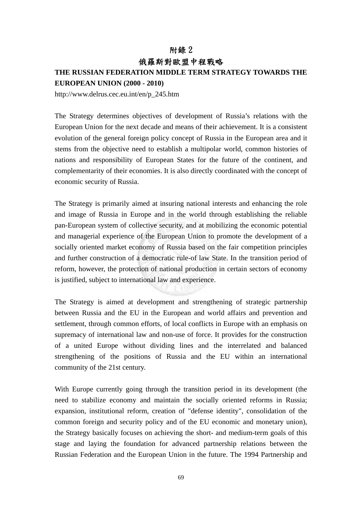## 附錄 2 俄羅斯對歐盟中程戰略

## **THE RUSSIAN FEDERATION MIDDLE TERM STRATEGY TOWARDS THE**

**EUROPEAN UNION (2000 - 2010)** 

http://www.delrus.cec.eu.int/en/p\_245.htm

The Strategy determines objectives of development of Russia's relations with the European Union for the next decade and means of their achievement. It is a consistent evolution of the general foreign policy concept of Russia in the European area and it stems from the objective need to establish a multipolar world, common histories of nations and responsibility of European States for the future of the continent, and complementarity of their economies. It is also directly coordinated with the concept of economic security of Russia.

The Strategy is primarily aimed at insuring national interests and enhancing the role and image of Russia in Europe and in the world through establishing the reliable pan-European system of collective security, and at mobilizing the economic potential and managerial experience of the European Union to promote the development of a socially oriented market economy of Russia based on the fair competition principles and further construction of a democratic rule-of law State. In the transition period of reform, however, the protection of national production in certain sectors of economy is justified, subject to international law and experience.

The Strategy is aimed at development and strengthening of strategic partnership between Russia and the EU in the European and world affairs and prevention and settlement, through common efforts, of local conflicts in Europe with an emphasis on supremacy of international law and non-use of force. It provides for the construction of a united Europe without dividing lines and the interrelated and balanced strengthening of the positions of Russia and the EU within an international community of the 21st century.

With Europe currently going through the transition period in its development (the need to stabilize economy and maintain the socially oriented reforms in Russia; expansion, institutional reform, creation of "defense identity", consolidation of the common foreign and security policy and of the EU economic and monetary union), the Strategy basically focuses on achieving the short- and medium-term goals of this stage and laying the foundation for advanced partnership relations between the Russian Federation and the European Union in the future. The 1994 Partnership and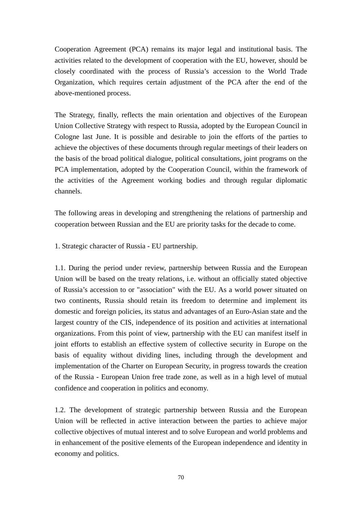Cooperation Agreement (PCA) remains its major legal and institutional basis. The activities related to the development of cooperation with the EU, however, should be closely coordinated with the process of Russia's accession to the World Trade Organization, which requires certain adjustment of the PCA after the end of the above-mentioned process.

The Strategy, finally, reflects the main orientation and objectives of the European Union Collective Strategy with respect to Russia, adopted by the European Council in Cologne last June. It is possible and desirable to join the efforts of the parties to achieve the objectives of these documents through regular meetings of their leaders on the basis of the broad political dialogue, political consultations, joint programs on the PCA implementation, adopted by the Cooperation Council, within the framework of the activities of the Agreement working bodies and through regular diplomatic channels.

The following areas in developing and strengthening the relations of partnership and cooperation between Russian and the EU are priority tasks for the decade to come.

1. Strategic character of Russia - EU partnership.

1.1. During the period under review, partnership between Russia and the European Union will be based on the treaty relations, i.e. without an officially stated objective of Russia's accession to or "association" with the EU. As a world power situated on two continents, Russia should retain its freedom to determine and implement its domestic and foreign policies, its status and advantages of an Euro-Asian state and the largest country of the CIS, independence of its position and activities at international organizations. From this point of view, partnership with the EU can manifest itself in joint efforts to establish an effective system of collective security in Europe on the basis of equality without dividing lines, including through the development and implementation of the Charter on European Security, in progress towards the creation of the Russia - European Union free trade zone, as well as in a high level of mutual confidence and cooperation in politics and economy.

1.2. The development of strategic partnership between Russia and the European Union will be reflected in active interaction between the parties to achieve major collective objectives of mutual interest and to solve European and world problems and in enhancement of the positive elements of the European independence and identity in economy and politics.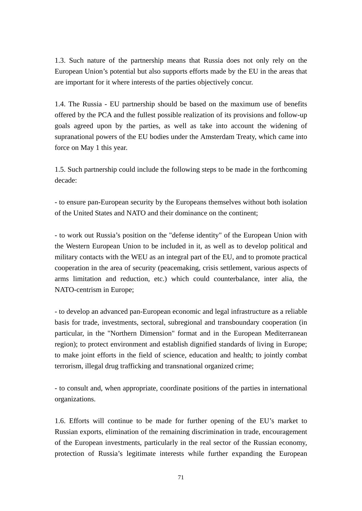1.3. Such nature of the partnership means that Russia does not only rely on the European Union's potential but also supports efforts made by the EU in the areas that are important for it where interests of the parties objectively concur.

1.4. The Russia - EU partnership should be based on the maximum use of benefits offered by the PCA and the fullest possible realization of its provisions and follow-up goals agreed upon by the parties, as well as take into account the widening of supranational powers of the EU bodies under the Amsterdam Treaty, which came into force on May 1 this year.

1.5. Such partnership could include the following steps to be made in the forthcoming decade:

- to ensure pan-European security by the Europeans themselves without both isolation of the United States and NATO and their dominance on the continent;

- to work out Russia's position on the "defense identity" of the European Union with the Western European Union to be included in it, as well as to develop political and military contacts with the WEU as an integral part of the EU, and to promote practical cooperation in the area of security (peacemaking, crisis settlement, various aspects of arms limitation and reduction, etc.) which could counterbalance, inter alia, the NATO-centrism in Europe;

- to develop an advanced pan-European economic and legal infrastructure as a reliable basis for trade, investments, sectoral, subregional and transboundary cooperation (in particular, in the "Northern Dimension" format and in the European Mediterranean region); to protect environment and establish dignified standards of living in Europe; to make joint efforts in the field of science, education and health; to jointly combat terrorism, illegal drug trafficking and transnational organized crime;

- to consult and, when appropriate, coordinate positions of the parties in international organizations.

1.6. Efforts will continue to be made for further opening of the EU's market to Russian exports, elimination of the remaining discrimination in trade, encouragement of the European investments, particularly in the real sector of the Russian economy, protection of Russia's legitimate interests while further expanding the European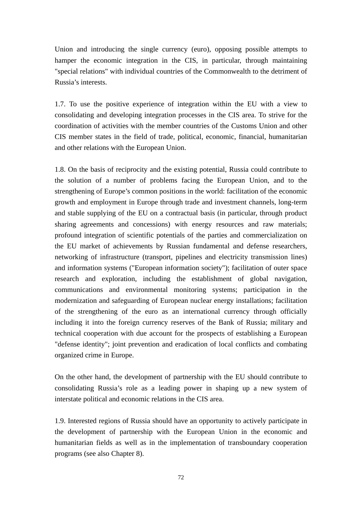Union and introducing the single currency (euro), opposing possible attempts to hamper the economic integration in the CIS, in particular, through maintaining "special relations" with individual countries of the Commonwealth to the detriment of Russia's interests.

1.7. To use the positive experience of integration within the EU with a view to consolidating and developing integration processes in the CIS area. To strive for the coordination of activities with the member countries of the Customs Union and other CIS member states in the field of trade, political, economic, financial, humanitarian and other relations with the European Union.

1.8. On the basis of reciprocity and the existing potential, Russia could contribute to the solution of a number of problems facing the European Union, and to the strengthening of Europe's common positions in the world: facilitation of the economic growth and employment in Europe through trade and investment channels, long-term and stable supplying of the EU on a contractual basis (in particular, through product sharing agreements and concessions) with energy resources and raw materials; profound integration of scientific potentials of the parties and commercialization on the EU market of achievements by Russian fundamental and defense researchers, networking of infrastructure (transport, pipelines and electricity transmission lines) and information systems ("European information society"); facilitation of outer space research and exploration, including the establishment of global navigation, communications and environmental monitoring systems; participation in the modernization and safeguarding of European nuclear energy installations; facilitation of the strengthening of the euro as an international currency through officially including it into the foreign currency reserves of the Bank of Russia; military and technical cooperation with due account for the prospects of establishing a European "defense identity"; joint prevention and eradication of local conflicts and combating organized crime in Europe.

On the other hand, the development of partnership with the EU should contribute to consolidating Russia's role as a leading power in shaping up a new system of interstate political and economic relations in the CIS area.

1.9. Interested regions of Russia should have an opportunity to actively participate in the development of partnership with the European Union in the economic and humanitarian fields as well as in the implementation of transboundary cooperation programs (see also Chapter 8).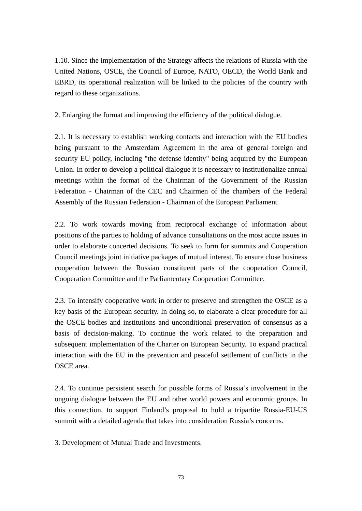1.10. Since the implementation of the Strategy affects the relations of Russia with the United Nations, OSCE, the Council of Europe, NATO, OECD, the World Bank and EBRD, its operational realization will be linked to the policies of the country with regard to these organizations.

2. Enlarging the format and improving the efficiency of the political dialogue.

2.1. It is necessary to establish working contacts and interaction with the EU bodies being pursuant to the Amsterdam Agreement in the area of general foreign and security EU policy, including "the defense identity" being acquired by the European Union. In order to develop a political dialogue it is necessary to institutionalize annual meetings within the format of the Chairman of the Government of the Russian Federation - Chairman of the CEC and Chairmen of the chambers of the Federal Assembly of the Russian Federation - Chairman of the European Parliament.

2.2. To work towards moving from reciprocal exchange of information about positions of the parties to holding of advance consultations on the most acute issues in order to elaborate concerted decisions. To seek to form for summits and Cooperation Council meetings joint initiative packages of mutual interest. To ensure close business cooperation between the Russian constituent parts of the cooperation Council, Cooperation Committee and the Parliamentary Cooperation Committee.

2.3. To intensify cooperative work in order to preserve and strengthen the OSCE as a key basis of the European security. In doing so, to elaborate a clear procedure for all the OSCE bodies and institutions and unconditional preservation of consensus as a basis of decision-making. To continue the work related to the preparation and subsequent implementation of the Charter on European Security. To expand practical interaction with the EU in the prevention and peaceful settlement of conflicts in the OSCE area.

2.4. To continue persistent search for possible forms of Russia's involvement in the ongoing dialogue between the EU and other world powers and economic groups. In this connection, to support Finland's proposal to hold a tripartite Russia-EU-US summit with a detailed agenda that takes into consideration Russia's concerns.

3. Development of Mutual Trade and Investments.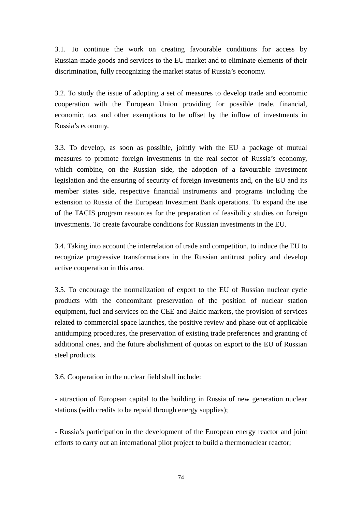3.1. To continue the work on creating favourable conditions for access by Russian-made goods and services to the EU market and to eliminate elements of their discrimination, fully recognizing the market status of Russia's economy.

3.2. To study the issue of adopting a set of measures to develop trade and economic cooperation with the European Union providing for possible trade, financial, economic, tax and other exemptions to be offset by the inflow of investments in Russia's economy.

3.3. To develop, as soon as possible, jointly with the EU a package of mutual measures to promote foreign investments in the real sector of Russia's economy, which combine, on the Russian side, the adoption of a favourable investment legislation and the ensuring of security of foreign investments and, on the EU and its member states side, respective financial instruments and programs including the extension to Russia of the European Investment Bank operations. To expand the use of the TACIS program resources for the preparation of feasibility studies on foreign investments. To create favourabe conditions for Russian investments in the EU.

3.4. Taking into account the interrelation of trade and competition, to induce the EU to recognize progressive transformations in the Russian antitrust policy and develop active cooperation in this area.

3.5. To encourage the normalization of export to the EU of Russian nuclear cycle products with the concomitant preservation of the position of nuclear station equipment, fuel and services on the CEE and Baltic markets, the provision of services related to commercial space launches, the positive review and phase-out of applicable antidumping procedures, the preservation of existing trade preferences and granting of additional ones, and the future abolishment of quotas on export to the EU of Russian steel products.

3.6. Cooperation in the nuclear field shall include:

- attraction of European capital to the building in Russia of new generation nuclear stations (with credits to be repaid through energy supplies);

- Russia's participation in the development of the European energy reactor and joint efforts to carry out an international pilot project to build a thermonuclear reactor;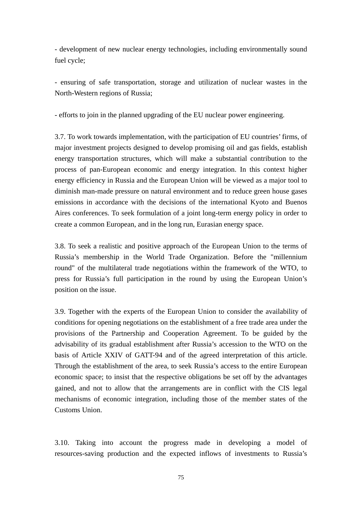- development of new nuclear energy technologies, including environmentally sound fuel cycle;

- ensuring of safe transportation, storage and utilization of nuclear wastes in the North-Western regions of Russia;

- efforts to join in the planned upgrading of the EU nuclear power engineering.

3.7. To work towards implementation, with the participation of EU countries' firms, of major investment projects designed to develop promising oil and gas fields, establish energy transportation structures, which will make a substantial contribution to the process of pan-European economic and energy integration. In this context higher energy efficiency in Russia and the European Union will be viewed as a major tool to diminish man-made pressure on natural environment and to reduce green house gases emissions in accordance with the decisions of the international Kyoto and Buenos Aires conferences. To seek formulation of a joint long-term energy policy in order to create a common European, and in the long run, Eurasian energy space.

3.8. To seek a realistic and positive approach of the European Union to the terms of Russia's membership in the World Trade Organization. Before the "millennium round" of the multilateral trade negotiations within the framework of the WTO, to press for Russia's full participation in the round by using the European Union's position on the issue.

3.9. Together with the experts of the European Union to consider the availability of conditions for opening negotiations on the establishment of a free trade area under the provisions of the Partnership and Cooperation Agreement. To be guided by the advisability of its gradual establishment after Russia's accession to the WTO on the basis of Article XXIV of GATT-94 and of the agreed interpretation of this article. Through the establishment of the area, to seek Russia's access to the entire European economic space; to insist that the respective obligations be set off by the advantages gained, and not to allow that the arrangements are in conflict with the CIS legal mechanisms of economic integration, including those of the member states of the Customs Union.

3.10. Taking into account the progress made in developing a model of resources-saving production and the expected inflows of investments to Russia's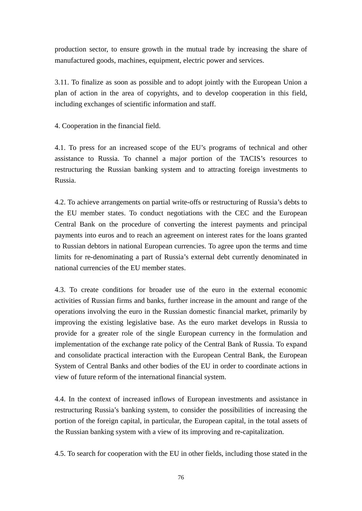production sector, to ensure growth in the mutual trade by increasing the share of manufactured goods, machines, equipment, electric power and services.

3.11. To finalize as soon as possible and to adopt jointly with the European Union a plan of action in the area of copyrights, and to develop cooperation in this field, including exchanges of scientific information and staff.

4. Cooperation in the financial field.

4.1. To press for an increased scope of the EU's programs of technical and other assistance to Russia. To channel a major portion of the TACIS's resources to restructuring the Russian banking system and to attracting foreign investments to Russia.

4.2. To achieve arrangements on partial write-offs or restructuring of Russia's debts to the EU member states. To conduct negotiations with the CEC and the European Central Bank on the procedure of converting the interest payments and principal payments into euros and to reach an agreement on interest rates for the loans granted to Russian debtors in national European currencies. To agree upon the terms and time limits for re-denominating a part of Russia's external debt currently denominated in national currencies of the EU member states.

4.3. To create conditions for broader use of the euro in the external economic activities of Russian firms and banks, further increase in the amount and range of the operations involving the euro in the Russian domestic financial market, primarily by improving the existing legislative base. As the euro market develops in Russia to provide for a greater role of the single European currency in the formulation and implementation of the exchange rate policy of the Central Bank of Russia. To expand and consolidate practical interaction with the European Central Bank, the European System of Central Banks and other bodies of the EU in order to coordinate actions in view of future reform of the international financial system.

4.4. In the context of increased inflows of European investments and assistance in restructuring Russia's banking system, to consider the possibilities of increasing the portion of the foreign capital, in particular, the European capital, in the total assets of the Russian banking system with a view of its improving and re-capitalization.

4.5. To search for cooperation with the EU in other fields, including those stated in the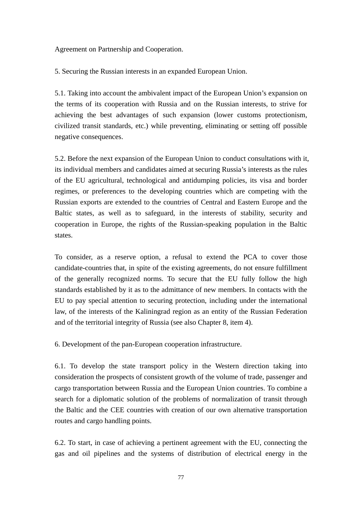Agreement on Partnership and Cooperation.

5. Securing the Russian interests in an expanded European Union.

5.1. Taking into account the ambivalent impact of the European Union's expansion on the terms of its cooperation with Russia and on the Russian interests, to strive for achieving the best advantages of such expansion (lower customs protectionism, civilized transit standards, etc.) while preventing, eliminating or setting off possible negative consequences.

5.2. Before the next expansion of the European Union to conduct consultations with it, its individual members and candidates aimed at securing Russia's interests as the rules of the EU agricultural, technological and antidumping policies, its visa and border regimes, or preferences to the developing countries which are competing with the Russian exports are extended to the countries of Central and Eastern Europe and the Baltic states, as well as to safeguard, in the interests of stability, security and cooperation in Europe, the rights of the Russian-speaking population in the Baltic states.

To consider, as a reserve option, a refusal to extend the PCA to cover those candidate-countries that, in spite of the existing agreements, do not ensure fulfillment of the generally recognized norms. To secure that the EU fully follow the high standards established by it as to the admittance of new members. In contacts with the EU to pay special attention to securing protection, including under the international law, of the interests of the Kaliningrad region as an entity of the Russian Federation and of the territorial integrity of Russia (see also Chapter 8, item 4).

6. Development of the pan-European cooperation infrastructure.

6.1. To develop the state transport policy in the Western direction taking into consideration the prospects of consistent growth of the volume of trade, passenger and cargo transportation between Russia and the European Union countries. To combine a search for a diplomatic solution of the problems of normalization of transit through the Baltic and the CEE countries with creation of our own alternative transportation routes and cargo handling points.

6.2. To start, in case of achieving a pertinent agreement with the EU, connecting the gas and oil pipelines and the systems of distribution of electrical energy in the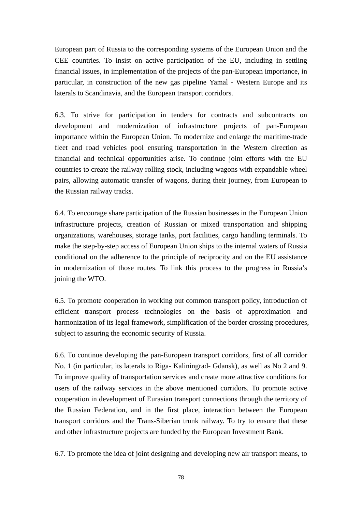European part of Russia to the corresponding systems of the European Union and the CEE countries. To insist on active participation of the EU, including in settling financial issues, in implementation of the projects of the pan-European importance, in particular, in construction of the new gas pipeline Yamal - Western Europe and its laterals to Scandinavia, and the European transport corridors.

6.3. To strive for participation in tenders for contracts and subcontracts on development and modernization of infrastructure projects of pan-European importance within the European Union. To modernize and enlarge the maritime-trade fleet and road vehicles pool ensuring transportation in the Western direction as financial and technical opportunities arise. To continue joint efforts with the EU countries to create the railway rolling stock, including wagons with expandable wheel pairs, allowing automatic transfer of wagons, during their journey, from European to the Russian railway tracks.

6.4. To encourage share participation of the Russian businesses in the European Union infrastructure projects, creation of Russian or mixed transportation and shipping organizations, warehouses, storage tanks, port facilities, cargo handling terminals. To make the step-by-step access of European Union ships to the internal waters of Russia conditional on the adherence to the principle of reciprocity and on the EU assistance in modernization of those routes. To link this process to the progress in Russia's joining the WTO.

6.5. To promote cooperation in working out common transport policy, introduction of efficient transport process technologies on the basis of approximation and harmonization of its legal framework, simplification of the border crossing procedures, subject to assuring the economic security of Russia.

6.6. To continue developing the pan-European transport corridors, first of all corridor No. 1 (in particular, its laterals to Riga- Kaliningrad- Gdansk), as well as No 2 and 9. To improve quality of transportation services and create more attractive conditions for users of the railway services in the above mentioned corridors. To promote active cooperation in development of Eurasian transport connections through the territory of the Russian Federation, and in the first place, interaction between the European transport corridors and the Trans-Siberian trunk railway. To try to ensure that these and other infrastructure projects are funded by the European Investment Bank.

6.7. To promote the idea of joint designing and developing new air transport means, to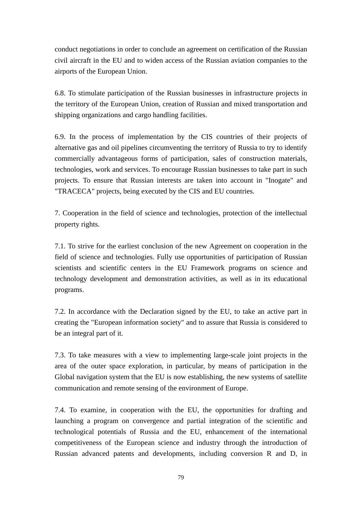conduct negotiations in order to conclude an agreement on certification of the Russian civil aircraft in the EU and to widen access of the Russian aviation companies to the airports of the European Union.

6.8. To stimulate participation of the Russian businesses in infrastructure projects in the territory of the European Union, creation of Russian and mixed transportation and shipping organizations and cargo handling facilities.

6.9. In the process of implementation by the CIS countries of their projects of alternative gas and oil pipelines circumventing the territory of Russia to try to identify commercially advantageous forms of participation, sales of construction materials, technologies, work and services. To encourage Russian businesses to take part in such projects. To ensure that Russian interests are taken into account in "Inogate" and "TRACECA" projects, being executed by the CIS and EU countries.

7. Cooperation in the field of science and technologies, protection of the intellectual property rights.

7.1. To strive for the earliest conclusion of the new Agreement on cooperation in the field of science and technologies. Fully use opportunities of participation of Russian scientists and scientific centers in the EU Framework programs on science and technology development and demonstration activities, as well as in its educational programs.

7.2. In accordance with the Declaration signed by the EU, to take an active part in creating the "European information society" and to assure that Russia is considered to be an integral part of it.

7.3. To take measures with a view to implementing large-scale joint projects in the area of the outer space exploration, in particular, by means of participation in the Global navigation system that the EU is now establishing, the new systems of satellite communication and remote sensing of the environment of Europe.

7.4. To examine, in cooperation with the EU, the opportunities for drafting and launching a program on convergence and partial integration of the scientific and technological potentials of Russia and the EU, enhancement of the international competitiveness of the European science and industry through the introduction of Russian advanced patents and developments, including conversion R and D, in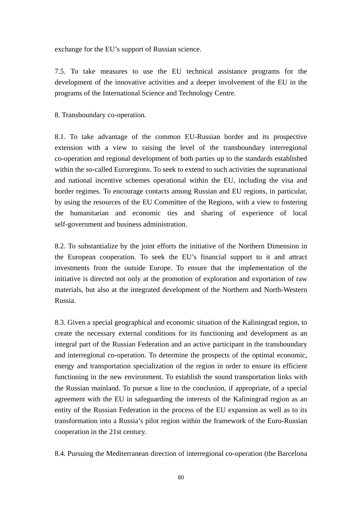exchange for the EU's support of Russian science.

7.5. To take measures to use the EU technical assistance programs for the development of the innovative activities and a deeper involvement of the EU in the programs of the International Science and Technology Centre.

8. Transboundary co-operation.

8.1. To take advantage of the common EU-Russian border and its prospective extension with a view to raising the level of the transboundary interregional co-operation and regional development of both parties up to the standards established within the so-called Euroregions. To seek to extend to such activities the supranational and national incentive schemes operational within the EU, including the visa and border regimes. To encourage contacts among Russian and EU regions, in particular, by using the resources of the EU Committee of the Regions, with a view to fostering the humanitarian and economic ties and sharing of experience of local self-government and business administration.

8.2. To substantialize by the joint efforts the initiative of the Northern Dimension in the European cooperation. To seek the EU's financial support to it and attract investments from the outside Europe. To ensure that the implementation of the initiative is directed not only at the promotion of exploration and exportation of raw materials, but also at the integrated development of the Northern and North-Western Russia.

8.3. Given a special geographical and economic situation of the Kaliningrad region, to create the necessary external conditions for its functioning and development as an integral part of the Russian Federation and an active participant in the transboundary and interregional co-operation. To determine the prospects of the optimal economic, energy and transportation specialization of the region in order to ensure its efficient functioning in the new environment. To establish the sound transportation links with the Russian mainland. To pursue a line to the conclusion, if appropriate, of a special agreement with the EU in safeguarding the interests of the Kaliningrad region as an entity of the Russian Federation in the process of the EU expansion as well as to its transformation into a Russia's pilot region within the framework of the Euro-Russian cooperation in the 21st century.

8.4. Pursuing the Mediterranean direction of interregional co-operation (the Barcelona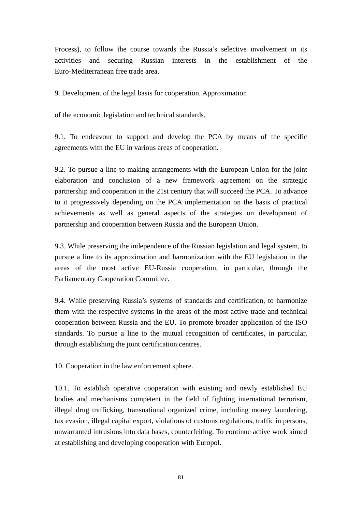Process), to follow the course towards the Russia's selective involvement in its activities and securing Russian interests in the establishment of the Euro-Mediterranean free trade area.

9. Development of the legal basis for cooperation. Approximation

of the economic legislation and technical standards.

9.1. To endeavour to support and develop the PCA by means of the specific agreements with the EU in various areas of cooperation.

9.2. To pursue a line to making arrangements with the European Union for the joint elaboration and conclusion of a new framework agreement on the strategic partnership and cooperation in the 21st century that will succeed the PCA. To advance to it progressively depending on the PCA implementation on the basis of practical achievements as well as general aspects of the strategies on development of partnership and cooperation between Russia and the European Union.

9.3. While preserving the independence of the Russian legislation and legal system, to pursue a line to its approximation and harmonization with the EU legislation in the areas of the most active EU-Russia cooperation, in particular, through the Parliamentary Cooperation Committee.

9.4. While preserving Russia's systems of standards and certification, to harmonize them with the respective systems in the areas of the most active trade and technical cooperation between Russia and the EU. To promote broader application of the ISO standards. To pursue a line to the mutual recognition of certificates, in particular, through establishing the joint certification centres.

10. Cooperation in the law enforcement sphere.

10.1. To establish operative cooperation with existing and newly established EU bodies and mechanisms competent in the field of fighting international terrorism, illegal drug trafficking, transnational organized crime, including money laundering, tax evasion, illegal capital export, violations of customs regulations, traffic in persons, unwarranted intrusions into data bases, counterfeiting. To continue active work aimed at establishing and developing cooperation with Europol.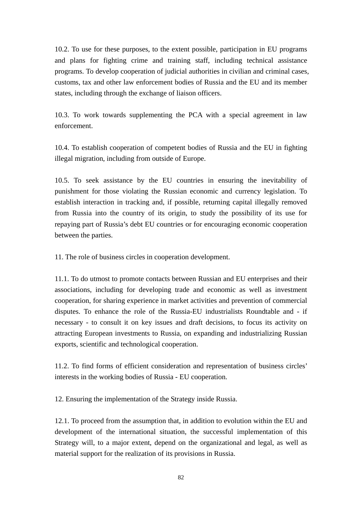10.2. To use for these purposes, to the extent possible, participation in EU programs and plans for fighting crime and training staff, including technical assistance programs. To develop cooperation of judicial authorities in civilian and criminal cases, customs, tax and other law enforcement bodies of Russia and the EU and its member states, including through the exchange of liaison officers.

10.3. To work towards supplementing the PCA with a special agreement in law enforcement.

10.4. To establish cooperation of competent bodies of Russia and the EU in fighting illegal migration, including from outside of Europe.

10.5. To seek assistance by the EU countries in ensuring the inevitability of punishment for those violating the Russian economic and currency legislation. To establish interaction in tracking and, if possible, returning capital illegally removed from Russia into the country of its origin, to study the possibility of its use for repaying part of Russia's debt EU countries or for encouraging economic cooperation between the parties.

11. The role of business circles in cooperation development.

11.1. To do utmost to promote contacts between Russian and EU enterprises and their associations, including for developing trade and economic as well as investment cooperation, for sharing experience in market activities and prevention of commercial disputes. To enhance the role of the Russia-EU industrialists Roundtable and - if necessary - to consult it on key issues and draft decisions, to focus its activity on attracting European investments to Russia, on expanding and industrializing Russian exports, scientific and technological cooperation.

11.2. To find forms of efficient consideration and representation of business circles' interests in the working bodies of Russia - EU cooperation.

12. Ensuring the implementation of the Strategy inside Russia.

12.1. To proceed from the assumption that, in addition to evolution within the EU and development of the international situation, the successful implementation of this Strategy will, to a major extent, depend on the organizational and legal, as well as material support for the realization of its provisions in Russia.